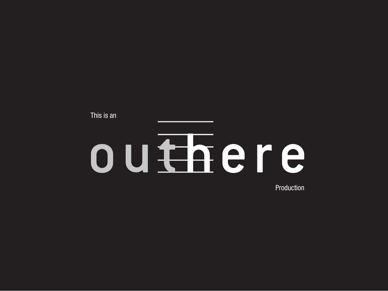This is anouthere Production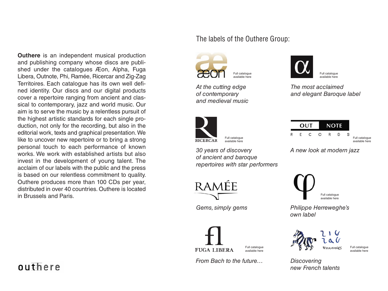**Outhere** is an independent musical production and publishing company whose discs are published under the catalogues Æon, Alpha, Fuga Libera, Outnote, Phi, Ramée, Ricercar and Zig-Zag Territoires. Each catalogue has its own well defined identity. Our discs and our digital products cover a repertoire ranging from ancient and classical to contemporary, jazz and world music. Our aim is to serve the music by a relentless pursuit of the highest artistic standards for each single production, not only for the recording, but also in the editorial work, texts and graphical presentation. We like to uncover new repertoire or to bring a strong personal touch to each performance of known works. We work with established artists but also invest in the development of young talent. The acclaim of our labels with the public and the press is based on our relentless commitment to quality. Outhere produces more than 100 CDs per year, distributed in over 40 countries. Outhere is located in Brussels and Paris.

outhere

## The labels of the Outhere Group:



*At the cutting edge of contemporary and medieval music*



[Full catalogue](http://world.idolweb.fr/alpha/releases.html)  available here

*The most acclaimed and elegant Baroque label*



*30 years of discovery*  [Full catalogue](http://world.idolweb.fr/ricercar/releases.html)  available here

*of ancient and baroque repertoires with star performers*

RAMFF

*Gems, simply gems*



[Full catalogue](http://world.idolweb.fr/fuga-libera/releases.html)  available here

*From Bach to the future…*



[Full catalogue](http://world.idolweb.fr/outnote-records/releases.html)  available here

*A new look at modern jazz*



*Philippe Herreweghe's own label*



[Full catalogue](http://world.idolweb.fr/zig-zag-territoires/releases.html)  available her

*Discovering new French talents*